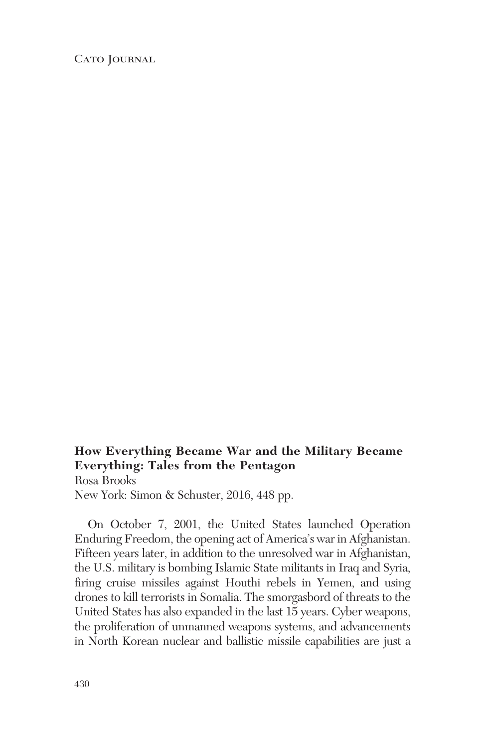CATO JOURNAL

## **How Everything Became War and the Military Became Everything: Tales from the Pentagon** Rosa Brooks New York: Simon & Schuster, 2016, 448 pp.

On October 7, 2001, the United States launched Operation Enduring Freedom, the opening act of America's war in Afghanistan. Fifteen years later, in addition to the unresolved war in Afghanistan, the U.S. military is bombing Islamic State militants in Iraq and Syria, firing cruise missiles against Houthi rebels in Yemen, and using drones to kill terrorists in Somalia. The smorgasbord of threats to the United States has also expanded in the last 15 years. Cyber weapons, the proliferation of unmanned weapons systems, and advancements in North Korean nuclear and ballistic missile capabilities are just a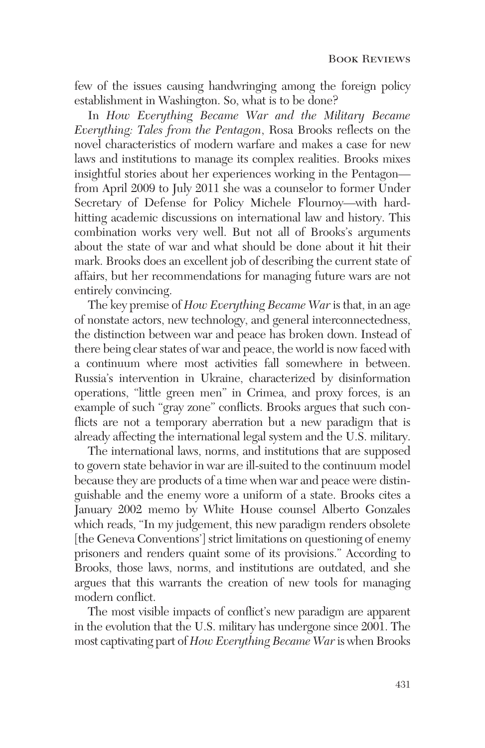few of the issues causing handwringing among the foreign policy establishment in Washington. So, what is to be done?

In *How Everything Became War and the Military Became Everything: Tales from the Pentagon*, Rosa Brooks reflects on the novel characteristics of modern warfare and makes a case for new laws and institutions to manage its complex realities. Brooks mixes insightful stories about her experiences working in the Pentagon from April 2009 to July 2011 she was a counselor to former Under Secretary of Defense for Policy Michele Flournoy—with hardhitting academic discussions on international law and history. This combination works very well. But not all of Brooks's arguments about the state of war and what should be done about it hit their mark. Brooks does an excellent job of describing the current state of affairs, but her recommendations for managing future wars are not entirely convincing.

The key premise of *How Everything Became War* is that, in an age of nonstate actors, new technology, and general interconnectedness, the distinction between war and peace has broken down. Instead of there being clear states of war and peace, the world is now faced with a continuum where most activities fall somewhere in between. Russia's intervention in Ukraine, characterized by disinformation operations, "little green men" in Crimea, and proxy forces, is an example of such "gray zone" conflicts. Brooks argues that such conflicts are not a temporary aberration but a new paradigm that is already affecting the international legal system and the U.S. military.

The international laws, norms, and institutions that are supposed to govern state behavior in war are ill-suited to the continuum model because they are products of a time when war and peace were distinguishable and the enemy wore a uniform of a state. Brooks cites a January 2002 memo by White House counsel Alberto Gonzales which reads, "In my judgement, this new paradigm renders obsolete [the Geneva Conventions'] strict limitations on questioning of enemy prisoners and renders quaint some of its provisions." According to Brooks, those laws, norms, and institutions are outdated, and she argues that this warrants the creation of new tools for managing modern conflict.

The most visible impacts of conflict's new paradigm are apparent in the evolution that the U.S. military has undergone since 2001. The most captivating part of *How Everything Became War* is when Brooks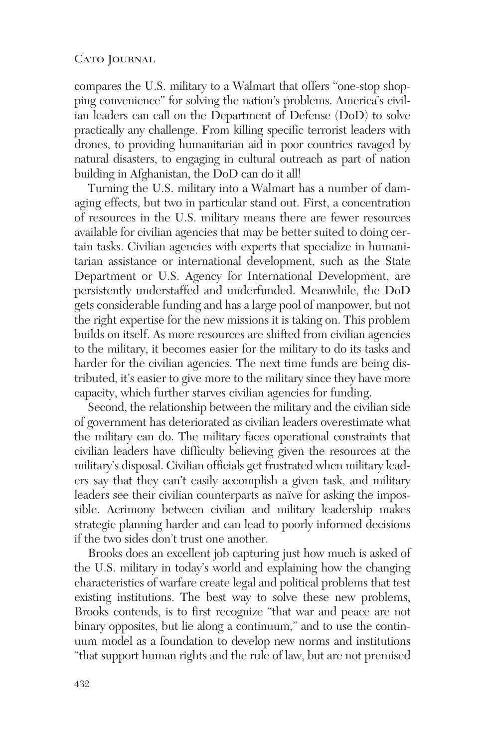## CATO JOURNAL

compares the U.S. military to a Walmart that offers "one-stop shopping convenience" for solving the nation's problems. America's civilian leaders can call on the Department of Defense (DoD) to solve practically any challenge. From killing specific terrorist leaders with drones, to providing humanitarian aid in poor countries ravaged by natural disasters, to engaging in cultural outreach as part of nation building in Afghanistan, the DoD can do it all!

Turning the U.S. military into a Walmart has a number of damaging effects, but two in particular stand out. First, a concentration of resources in the U.S. military means there are fewer resources available for civilian agencies that may be better suited to doing certain tasks. Civilian agencies with experts that specialize in humanitarian assistance or international development, such as the State Department or U.S. Agency for International Development, are persistently understaffed and underfunded. Meanwhile, the DoD gets considerable funding and has a large pool of manpower, but not the right expertise for the new missions it is taking on. This problem builds on itself. As more resources are shifted from civilian agencies to the military, it becomes easier for the military to do its tasks and harder for the civilian agencies. The next time funds are being distributed, it's easier to give more to the military since they have more capacity, which further starves civilian agencies for funding.

Second, the relationship between the military and the civilian side of government has deteriorated as civilian leaders overestimate what the military can do. The military faces operational constraints that civilian leaders have difficulty believing given the resources at the military's disposal. Civilian officials get frustrated when military leaders say that they can't easily accomplish a given task, and military leaders see their civilian counterparts as naïve for asking the impossible. Acrimony between civilian and military leadership makes strategic planning harder and can lead to poorly informed decisions if the two sides don't trust one another.

Brooks does an excellent job capturing just how much is asked of the U.S. military in today's world and explaining how the changing characteristics of warfare create legal and political problems that test existing institutions. The best way to solve these new problems, Brooks contends, is to first recognize "that war and peace are not binary opposites, but lie along a continuum," and to use the continuum model as a foundation to develop new norms and institutions "that support human rights and the rule of law, but are not premised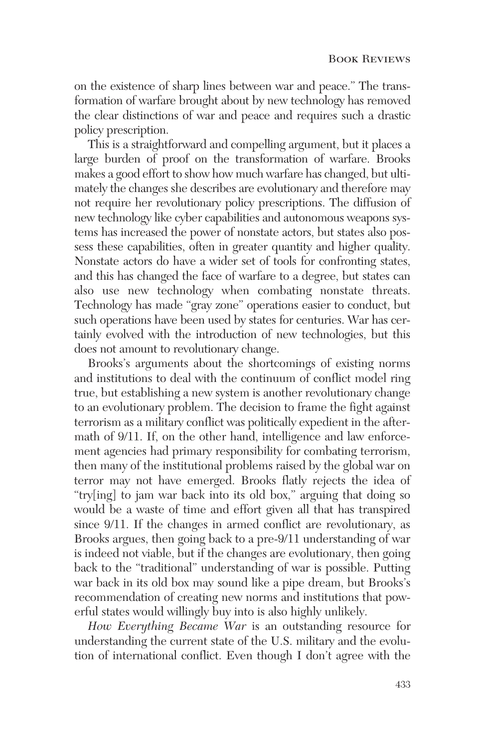on the existence of sharp lines between war and peace." The transformation of warfare brought about by new technology has removed the clear distinctions of war and peace and requires such a drastic policy prescription.

This is a straightforward and compelling argument, but it places a large burden of proof on the transformation of warfare. Brooks makes a good effort to show how much warfare has changed, but ultimately the changes she describes are evolutionary and therefore may not require her revolutionary policy prescriptions. The diffusion of new technology like cyber capabilities and autonomous weapons systems has increased the power of nonstate actors, but states also possess these capabilities, often in greater quantity and higher quality. Nonstate actors do have a wider set of tools for confronting states, and this has changed the face of warfare to a degree, but states can also use new technology when combating nonstate threats. Technology has made "gray zone" operations easier to conduct, but such operations have been used by states for centuries. War has certainly evolved with the introduction of new technologies, but this does not amount to revolutionary change.

Brooks's arguments about the shortcomings of existing norms and institutions to deal with the continuum of conflict model ring true, but establishing a new system is another revolutionary change to an evolutionary problem. The decision to frame the fight against terrorism as a military conflict was politically expedient in the aftermath of 9/11. If, on the other hand, intelligence and law enforcement agencies had primary responsibility for combating terrorism, then many of the institutional problems raised by the global war on terror may not have emerged. Brooks flatly rejects the idea of "try[ing] to jam war back into its old box," arguing that doing so would be a waste of time and effort given all that has transpired since 9/11. If the changes in armed conflict are revolutionary, as Brooks argues, then going back to a pre-9/11 understanding of war is indeed not viable, but if the changes are evolutionary, then going back to the "traditional" understanding of war is possible. Putting war back in its old box may sound like a pipe dream, but Brooks's recommendation of creating new norms and institutions that powerful states would willingly buy into is also highly unlikely.

*How Everything Became War* is an outstanding resource for understanding the current state of the U.S. military and the evolution of international conflict. Even though I don't agree with the